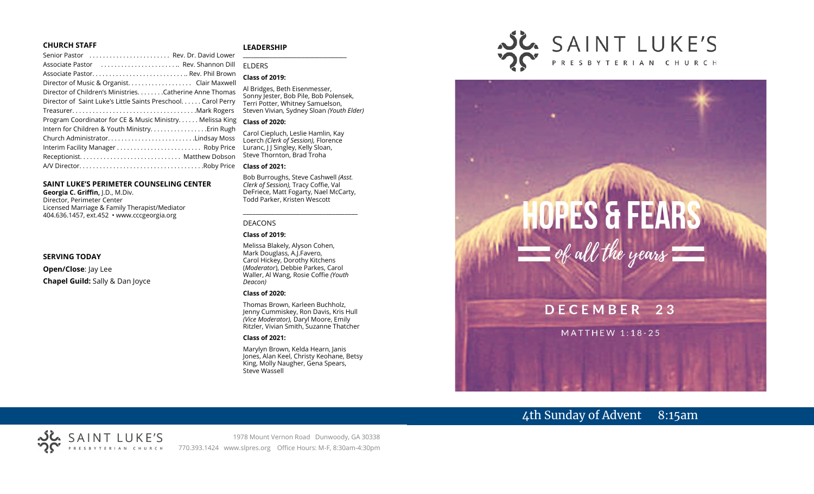#### **CHURCH STAFF**

#### **LEADERSHIP**

| Senior Pastor  Rev. Dr. David Lower                           |  |
|---------------------------------------------------------------|--|
| Associate Pastor  Rev. Shannon Dill                           |  |
|                                                               |  |
|                                                               |  |
| Director of Children's Ministries. Catherine Anne Thomas      |  |
| Director of Saint Luke's Little Saints Preschool. Carol Perry |  |
|                                                               |  |
| Program Coordinator for CE & Music Ministry Melissa King      |  |
|                                                               |  |
| Church AdministratorLindsay Moss                              |  |
| Interim Facility Manager  Roby Price                          |  |
|                                                               |  |
|                                                               |  |
|                                                               |  |

#### **SAINT LUKE'S PERIMETER COUNSELING CENTER**

**Georgia C. Griffin,** J.D., M.Div. Director, Perimeter Center Licensed Marriage & Family Therapist/Mediator 404.636.1457, ext.452 • www.cccgeorgia.org

#### **SERVING TODAY**

**Open/Close**: Jay Lee **Chapel Guild:** Sally & Dan Joyce

#### **\_\_\_\_\_\_\_\_\_\_\_\_\_\_\_\_\_\_\_\_\_\_\_\_\_\_\_\_\_\_\_\_\_\_\_\_\_\_\_** ELDERS

#### **Class of 2019:**

Al Bridges, Beth Eisenmesser, Sonny Jester, Bob Pile, Bob Polensek, Terri Potter, Whitney Samuelson, Steven Vivian*,* Sydney Sloan *(Youth Elder)*

#### **Class of 2020:**

Carol Ciepluch, Leslie Hamlin, Kay Loerch *(Clerk of Session),* Florence Luranc, J J Singley, Kelly Sloan, Steve Thornton, Brad Troha

#### **Class of 2021:**

Bob Burroughs, Steve Cashwell *(Asst. Clerk of Session),* Tracy Coffie, Val DeFriece, Matt Fogarty, Nael McCarty, Todd Parker, Kristen Wescott

\_\_\_\_\_\_\_\_\_\_\_\_\_\_\_\_\_\_\_\_\_\_\_\_\_\_\_\_\_\_\_\_\_\_\_\_

#### DEACONS

#### **Class of 2019:**

Melissa Blakely, Alyson Cohen, Mark Douglass, A.J.Favero, Carol Hickey, Dorothy Kitchens (*Moderator*), Debbie Parkes, Carol Waller, Al Wang, Rosie Coffie *(Youth Deacon)* 

#### **Class of 2020:**

Thomas Brown, Karleen Buchholz, Jenny Cummiskey, Ron Davis, Kris Hull *(Vice Moderator),* Daryl Moore, Emily Ritzler, Vivian Smith, Suzanne Thatcher

#### **Class of 2021:**

Marylyn Brown, Kelda Hearn, Janis Jones, Alan Keel, Christy Keohane, Betsy King, Molly Naugher, Gena Spears, Steve Wassell



# $HOPES$  & FEARS<br>= of all the years DECEMBER 23 **MATTHEW 1:18-25**

# 4th Sunday of Advent 8:15am

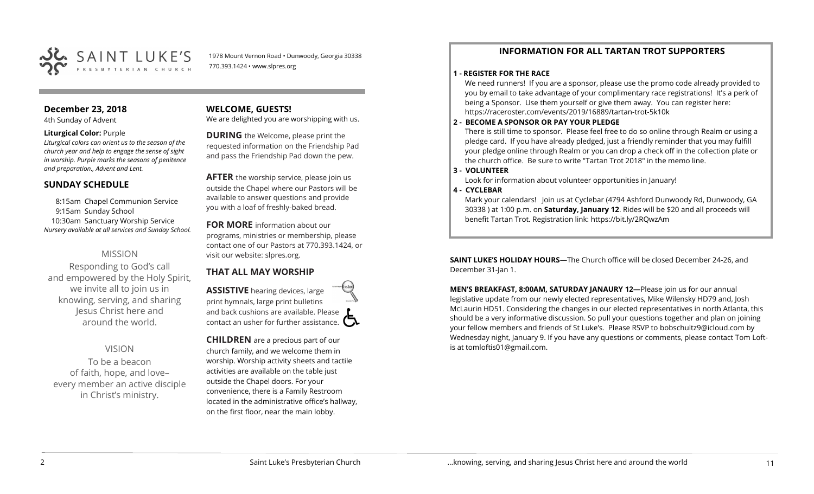

1978 Mount Vernon Road • Dunwoody, Georgia 30338 770.393.1424 • www.slpres.org

# **December 23, 2018**

4th Sunday of Advent

#### **Liturgical Color:** Purple

*Liturgical colors can orient us to the season of the church year and help to engage the sense of sight in worship. Purple marks the seasons of penitence and preparation., Advent and Lent.* 

#### **SUNDAY SCHEDULE**

8:15am Chapel Communion Service 9:15am Sunday School 10:30am Sanctuary Worship Service *Nursery available at all services and Sunday School.* 

#### MISSION

Responding to God's call and empowered by the Holy Spirit, we invite all to join us in knowing, serving, and sharing Jesus Christ here and around the world.

#### VISION

To be a beacon of faith, hope, and love– every member an active disciple in Christ's ministry.

#### **WELCOME, GUESTS!**

We are delighted you are worshipping with us.

**DURING** the Welcome, please print the requested information on the Friendship Pad and pass the Friendship Pad down the pew.

**AFTER** the worship service, please join us outside the Chapel where our Pastors will be available to answer questions and provide you with a loaf of freshly-baked bread.

#### **FOR MORE** information about our programs, ministries or membership, please

contact one of our Pastors at 770.393.1424, or visit our website: slpres.org.

# **THAT ALL MAY WORSHIP**

**ASSISTIVE** hearing devices, large print hymnals, large print bulletins and back cushions are available. Please contact an usher for further assistance.  $\Box$ 

**CHILDREN** are a precious part of our church family, and we welcome them in worship. Worship activity sheets and tactile activities are available on the table just outside the Chapel doors. For your convenience, there is a Family Restroom located in the administrative office's hallway, on the first floor, near the main lobby.

# **INFORMATION FOR ALL TARTAN TROT SUPPORTERS**

#### **1 - REGISTER FOR THE RACE**

We need runners! If you are a sponsor, please use the promo code already provided to you by email to take advantage of your complimentary race registrations! It's a perk of being a Sponsor. Use them yourself or give them away. You can register here: [https://raceroster.com/events/2019/16889/tartan](https://raceroster.com/events/2019/16889/tartan-trot-5k10k)-trot-5k10k

#### **2 - BECOME A SPONSOR OR PAY YOUR PLEDGE**

There is still time to sponsor. Please feel free to do so online through Realm or using a pledge card. If you have already pledged, just a friendly reminder that you may fulfill your pledge online through Realm or you can drop a check off in the collection plate or the church office. Be sure to write "Tartan Trot 2018" in the memo line.

#### **3 - VOLUNTEER**

Look for information about volunteer opportunities in January!

#### **4 - CYCLEBAR**

Mark your calendars! Join us at Cyclebar (4794 Ashford Dunwoody Rd, Dunwoody, GA 30338 ) at 1:00 p.m. on **Saturday, January 12**. Rides will be \$20 and all proceeds will benefit Tartan Trot. Registration link: <https://bit.ly/2RQwzAm>

**SAINT LUKE'S HOLIDAY HOURS**—The Church office will be closed December 24-26, and December 31-Jan 1.

**MEN'S BREAKFAST, 8:00AM, SATURDAY JANAURY 12—**Please join us for our annual legislative update from our newly elected representatives, Mike Wilensky HD79 and, Josh McLaurin HD51. Considering the changes in our elected representatives in north Atlanta, this should be a very informative discussion. So pull your questions together and plan on joining your fellow members and friends of St Luke's. Please RSVP to [bobschultz9@icloud.com](mailto:bobschultz9@icloud.com) by Wednesday night, January 9. If you have any questions or comments, please contact Tom Loftis at [tomloftis01@gmail.com.](mailto:tomloftis01@gmail.com)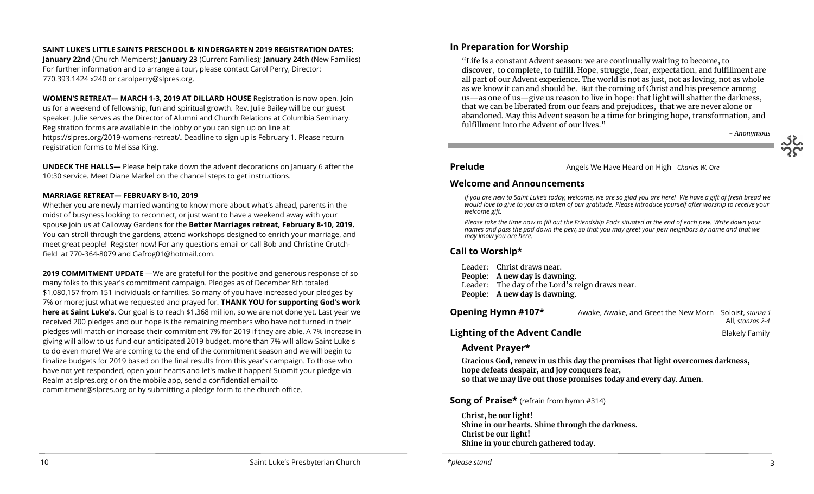#### **SAINT LUKE'S LITTLE SAINTS PRESCHOOL & KINDERGARTEN 2019 REGISTRATION DATES:**

**January 22nd** (Church Members); **January 23** (Current Families); **January 24th** (New Families) For further information and to arrange a tour, please contact Carol Perry, Director: 770.393.1424 x240 or [carolperry@slpres.org.](mailto:carolperry@slpres.org)

**WOMEN'S RETREAT— MARCH 1-3, 2019 AT DILLARD HOUSE** Registration is now open. Join us for a weekend of fellowship, fun and spiritual growth. Rev. Julie Bailey will be our guest speaker. Julie serves as the Director of Alumni and Church Relations at Columbia Seminary. Registration forms are available in the lobby or you can sign up on line at: [https://slpres.org/2019](https://slpres.org/2019-womens-retreat/)-womens-retreat/**.** Deadline to sign up is February 1. Please return registration forms to Melissa King.

**UNDECK THE HALLS—** Please help take down the advent decorations on January 6 after the 10:30 service. Meet Diane Markel on the chancel steps to get instructions.

#### **MARRIAGE RETREAT— FEBRUARY 8-10, 2019**

Whether you are newly married wanting to know more about what's ahead, parents in the midst of busyness looking to reconnect, or just want to have a weekend away with your spouse join us at Calloway Gardens for the **Better Marriages retreat, February 8-10, 2019.**  You can stroll through the gardens, attend workshops designed to enrich your marriage, and meet great people! Register now! For any questions email or call Bob and Christine Crutchfield at 770-364-8079 and [Gafrog01@hotmail.com.](mailto:Gafrog01@hotmail.com)

**2019 COMMITMENT UPDATE** —We are grateful for the positive and generous response of so many folks to this year's commitment campaign. Pledges as of December 8th totaled \$1,080,157 from 151 individuals or families. So many of you have increased your pledges by 7% or more; just what we requested and prayed for. **THANK YOU for supporting God's work here at Saint Luke's**. Our goal is to reach \$1.368 million, so we are not done yet. Last year we received 200 pledges and our hope is the remaining members who have not turned in their pledges will match or increase their commitment 7% for 2019 if they are able. A 7% increase in giving will allow to us fund our anticipated 2019 budget, more than 7% will allow Saint Luke's to do even more! We are coming to the end of the commitment season and we will begin to finalize budgets for 2019 based on the final results from this year's campaign. To those who have not yet responded, open your hearts and let's make it happen! Submit your pledge via Realm at slpres.org or on the mobile app, send a confidential email to [commitment@slpres.org](mailto:commitment@slpres.org) or by submitting a pledge form to the church office.

# **In Preparation for Worship**

"Life is a constant Advent season: we are continually waiting to become, to discover, to complete, to fulfill. Hope, struggle, fear, expectation, and fulfillment are all part of our Advent experience. The world is not as just, not as loving, not as whole as we know it can and should be. But the coming of Christ and his presence among us—as one of us—give us reason to live in hope: that light will shatter the darkness, that we can be liberated from our fears and prejudices, that we are never alone or abandoned. May this Advent season be a time for bringing hope, transformation, and fulfillment into the Advent of our lives."

*- Anonymous*

#### **Prelude** Angels We Have Heard on High *Charles W. Ore*

#### **Welcome and Announcements**

*If you are new to Saint Luke's today, welcome, we are so glad you are here! We have a gift of fresh bread we would love to give to you as a token of our gratitude. Please introduce yourself after worship to receive your welcome gift.*

*Please take the time now to fill out the Friendship Pads situated at the end of each pew. Write down your names and pass the pad down the pew, so that you may greet your pew neighbors by name and that we may know you are here.*

## **Call to Worship\***

Leader: Christ draws near. **People: A new day is dawning.**

Leader: The day of the Lord's reign draws near.

**People: A new day is dawning.**

| Opening Hymn #107*                   | Awake, Awake, and Greet the New Morn Soloist, stanza 1 | All, stanzas 2-4 |
|--------------------------------------|--------------------------------------------------------|------------------|
| <b>Lighting of the Advent Candle</b> |                                                        | Blakely Family   |

#### **Advent Prayer\***

**Gracious God, renew in us this day the promises that light overcomes darkness, hope defeats despair, and joy conquers fear, so that we may live out those promises today and every day. Amen.** 

#### **Song of Praise\*** (refrain from hymn #314)

**Christ, be our light! Shine in our hearts. Shine through the darkness. Christ be our light! Shine in your church gathered today.**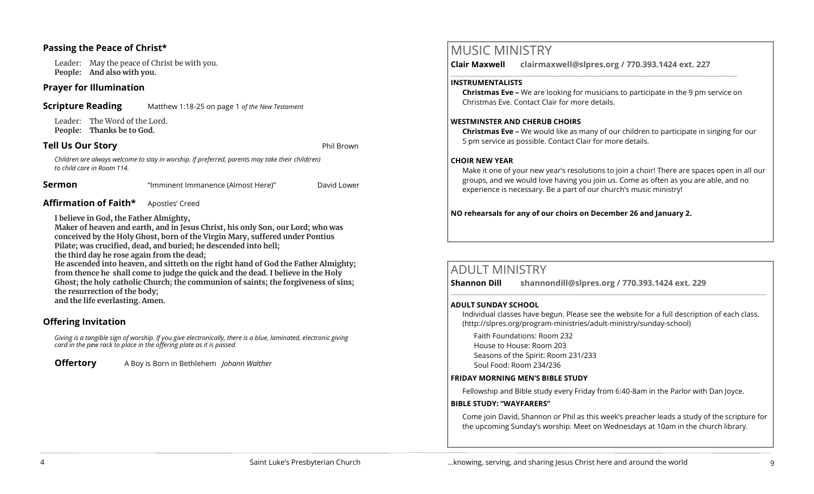## **Passing the Peace of Christ\***

Leader: May the peace of Christ be with you. **People: And also with you.** 

#### **Prayer for Illumination**

**Scripture Reading** Matthew 1:18-25 on page 1 *of the New Testament*

Leader: The Word of the Lord. **People: Thanks be to God.** 

#### **Tell Us Our Story Phil Brown and Structure 2012**

*Children are always welcome to stay in worship. If preferred, parents may take their child(ren) to child care in Room 114.*

**Sermon** "Imminent Immanence (Almost Here)" David Lower

# **Affirmation of Faith\*** Apostles' Creed

**I believe in God, the Father Almighty,**

**Maker of heaven and earth, and in Jesus Christ, his only Son, our Lord; who was conceived by the Holy Ghost, born of the Virgin Mary, suffered under Pontius Pilate; was crucified, dead, and buried; he descended into hell;** 

**the third day he rose again from the dead;**

**He ascended into heaven, and sitteth on the right hand of God the Father Almighty; from thence he shall come to judge the quick and the dead. I believe in the Holy Ghost; the holy catholic Church; the communion of saints; the forgiveness of sins; the resurrection of the body; and the life everlasting. Amen.**

# **Offering Invitation**

*Giving is a tangible sign of worship. If you give electronically, there is a blue, laminated, electronic giving card in the pew rack to place in the offering plate as it is passed.*

**Offertory** A Boy is Born in Bethlehem *Johann Walther*

# MUSIC MINISTRY

**Clair Maxwell clairmaxwell@slpres.org / 770.393.1424 ext. 227**   $\_$  , and the set of the set of the set of the set of the set of the set of the set of the set of the set of the set of the set of the set of the set of the set of the set of the set of the set of the set of the set of th

#### **INSTRUMENTALISTS**

**Christmas Eve –** We are looking for musicians to participate in the 9 pm service on Christmas Eve. Contact Clair for more details.

#### **WESTMINSTER AND CHERUB CHOIRS**

**Christmas Eve –** We would like as many of our children to participate in singing for our 5 pm service as possible. Contact Clair for more details.

#### **CHOIR NEW YEAR**

Make it one of your new year's resolutions to join a choir! There are spaces open in all our groups, and we would love having you join us. Come as often as you are able, and no experience is necessary. Be a part of our church's music ministry!

**NO rehearsals for any of our choirs on December 26 and January 2.**

# ADULT MINISTRY

**Shannon Dill shannondill@slpres.org / 770.393.1424 ext. 229**   $\_$  ,  $\_$  ,  $\_$  ,  $\_$  ,  $\_$  ,  $\_$  ,  $\_$  ,  $\_$  ,  $\_$  ,  $\_$  ,  $\_$  ,  $\_$  ,  $\_$  ,  $\_$  ,  $\_$  ,  $\_$  ,  $\_$  ,  $\_$  ,  $\_$  ,  $\_$ 

#### **ADULT SUNDAY SCHOOL**

Individual classes have begun. Please see the website for a full description of each class. (http://slpres.org/program-ministries/adult-ministry/sunday-school)

Faith Foundations: Room 232 House to House: Room 203 Seasons of the Spirit: Room 231/233 Soul Food: Room 234/236

#### **FRIDAY MORNING MEN'S BIBLE STUDY**

Fellowship and Bible study every Friday from 6:40-8am in the Parlor with Dan Joyce.

#### **BIBLE STUDY: "WAYFARERS"**

Come join David, Shannon or Phil as this week's preacher leads a study of the scripture for the upcoming Sunday's worship. Meet on Wednesdays at 10am in the church library.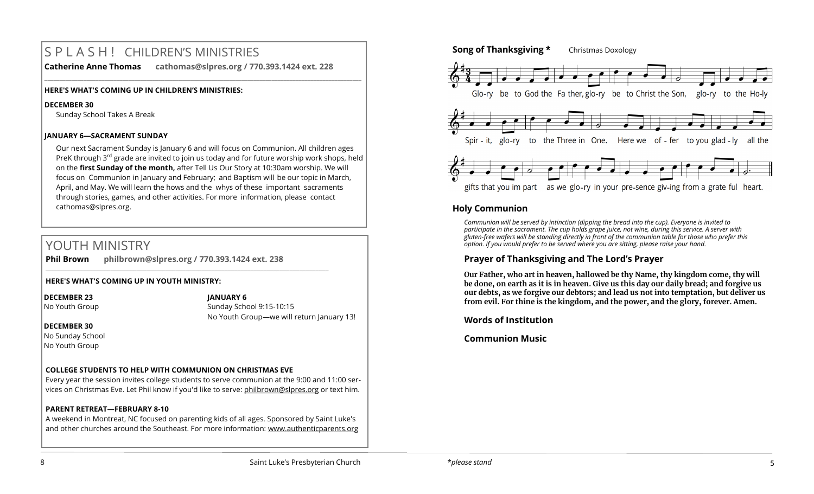# S P L A S H ! CHILDREN'S MINISTRIES

**Catherine Anne Thomas cathomas@slpres.org / 770.393.1424 ext. 228** 

**\_\_\_\_\_\_\_\_\_\_\_\_\_\_\_\_\_\_\_\_\_\_\_\_\_\_\_\_\_\_\_\_\_\_\_\_\_\_\_\_\_\_\_\_\_\_\_\_\_\_\_\_\_\_\_\_\_\_\_\_\_\_\_\_\_\_\_\_\_\_\_\_\_\_\_\_\_\_\_\_\_\_\_\_\_\_\_\_\_\_\_\_\_\_\_\_\_\_\_\_\_\_\_\_\_\_** 

#### **HERE'S WHAT'S COMING UP IN CHILDREN'S MINISTRIES:**

#### **DECEMBER 30**

Sunday School Takes A Break

#### **JANUARY 6—SACRAMENT SUNDAY**

Our next Sacrament Sunday is January 6 and will focus on Communion. All children ages PreK through  $3^{rd}$  grade are invited to join us today and for future worship work shops, held on the **first Sunday of the month,** after Tell Us Our Story at 10:30am worship. We will focus on Communion in January and February; and Baptism will be our topic in March, April, and May. We will learn the hows and the whys of these important sacraments through stories, games, and other activities. For more information, please contact [cathomas@slpres.org.](mailto:cathomas@slpres.org) 

# YOUTH MINISTRY

**Phil Brown philbrown@slpres.org / 770.393.1424 ext. 238** 

\_\_\_\_\_\_\_\_\_\_\_\_\_\_\_\_\_\_\_\_\_\_\_\_\_\_\_\_\_\_\_\_\_\_\_\_\_\_\_\_\_\_\_\_\_\_\_\_\_\_\_\_\_\_\_\_\_\_\_\_\_\_\_\_\_\_\_\_\_\_\_\_\_\_\_\_\_\_\_\_\_\_\_\_\_\_\_

#### **HERE'S WHAT'S COMING UP IN YOUTH MINISTRY:**

**DECEMBER 23**

#### **JANUARY 6**

No Youth Group

Sunday School 9:15-10:15 No Youth Group—we will return January 13!

#### **DECEMBER 30**

No Sunday School No Youth Group

# **COLLEGE STUDENTS TO HELP WITH COMMUNION ON CHRISTMAS EVE**

Every year the session invites college students to serve communion at the 9:00 and 11:00 services on Christmas Eve. Let Phil know if you'd like to serve: [philbrown@slpres.org](mailto:philbrown@slpres.org) or text him.

# **PARENT RETREAT—FEBRUARY 8-10**

A weekend in Montreat, NC focused on parenting kids of all ages. Sponsored by Saint Luke's and other churches around the Southeast. For more information: [www.authenticparents.org](http://www.authenticparents.org)



# **Holy Communion**

*Communion will be served by intinction (dipping the bread into the cup). Everyone is invited to participate in the sacrament. The cup holds grape juice, not wine, during this service. A server with gluten-free wafers will be standing directly in front of the communion table for those who prefer this option. If you would prefer to be served where you are sitting, please raise your hand.*

# **Prayer of Thanksgiving and The Lord's Prayer**

**Our Father, who art in heaven, hallowed be thy Name, thy kingdom come, thy will be done, on earth as it is in heaven. Give us this day our daily bread; and forgive us our debts, as we forgive our debtors; and lead us not into temptation, but deliver us from evil. For thine is the kingdom, and the power, and the glory, forever. Amen.**

**Words of Institution**

# **Communion Music**